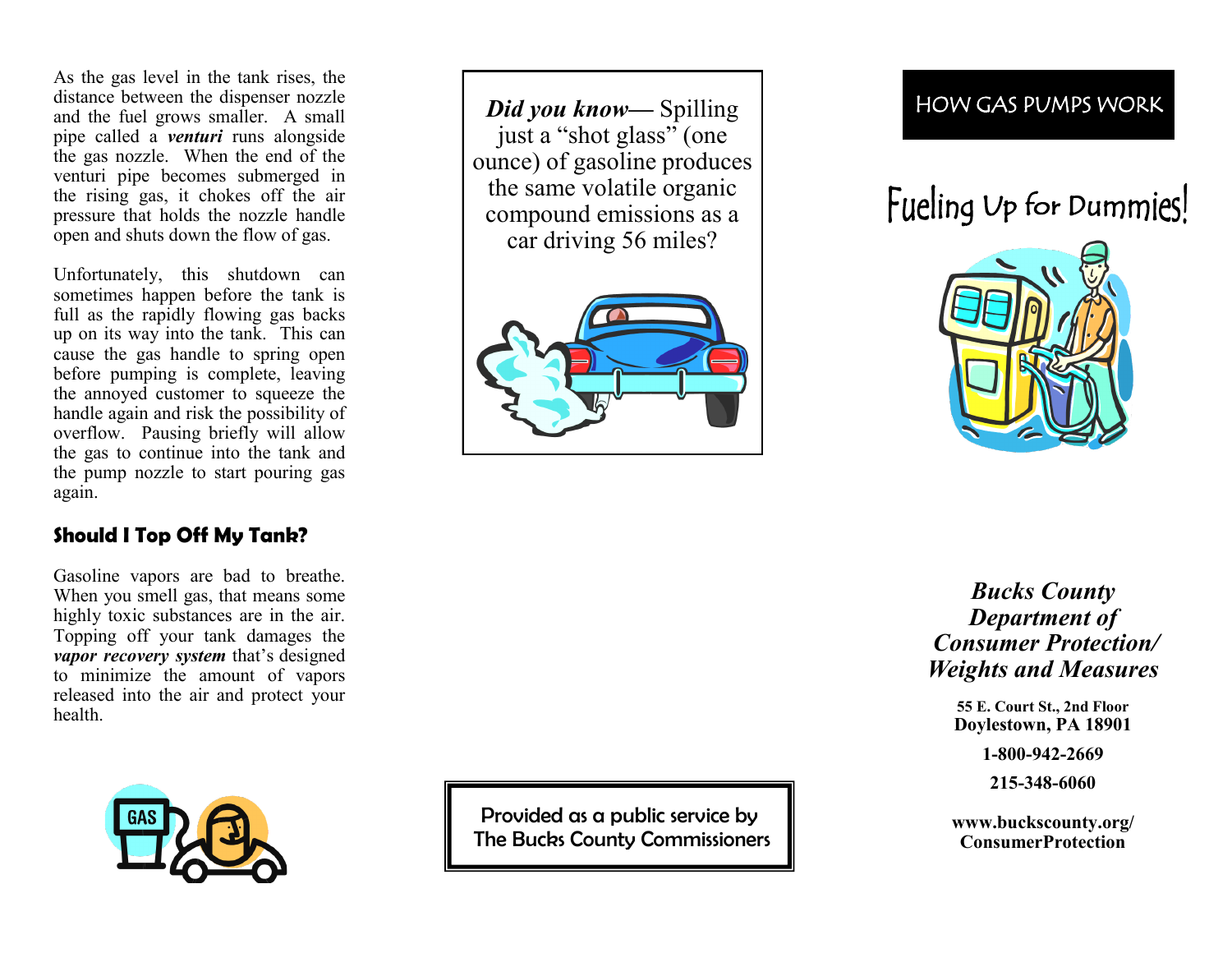As the gas level in the tank rises, the distance between the dispenser nozzle and the fuel grows smaller. A small pipe called a *venturi* runs alongside the gas nozzle. When the end of the venturi pipe becomes submerged in the rising gas, it chokes off the air pressure that holds the nozzle handle open and shuts down the flow of gas.

Unfortunately, this shutdown can sometimes happen before the tank is full as the rapidly flowing gas backs up on its way into the tank. This can cause the gas handle to spring open before pumping is complete, leaving the annoyed customer to squeeze the handle again and risk the possibility of overflow. Pausing briefly will allow the gas to continue into the tank and the pump nozzle to start pouring gas again.

#### **Should I Top Off My Tank?**

Gasoline vapors are bad to breathe. When you smell gas, that means some highly toxic substances are in the air. Topping off your tank damages the *vapor recovery system* that 's designed to minimize the amount of vapors released into the air and protect your health.



*Did you know —* Spilling just a "shot glass" (one ounce) of gasoline produces the same volatile organic compound emissions as a car driving 56 miles?



## HOW GAS PUMPS WORK

# Fueling Up for Dummies!



*Bucks County Department of Consumer Protection/ Weights and Measures*

> **55 E. Court St., 2nd Floor Doylestown, PA 18901**

> > **1-800-942-2669**

**215 -348 -6060**

**www.buckscounty.org/ ConsumerProtection**

Provided as a public service by The Bucks County Commissioners